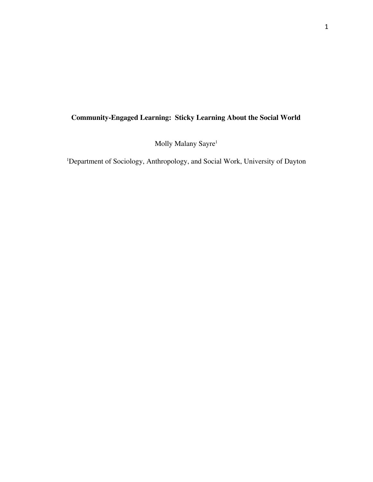# **Community-Engaged Learning: Sticky Learning About the Social World**

Molly Malany Sayre 1

<sup>1</sup>Department of Sociology, Anthropology, and Social Work, University of Dayton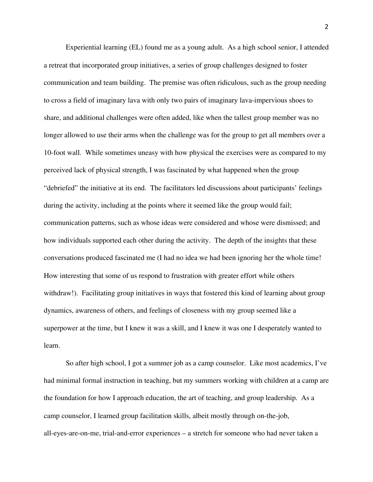Experiential learning (EL) found me as a young adult. As a high school senior, I attended a retreat that incorporated group initiatives, a series of group challenges designed to foster communication and team building. The premise was often ridiculous, such as the group needing to cross a field of imaginary lava with only two pairs of imaginary lava-impervious shoes to share, and additional challenges were often added, like when the tallest group member was no longer allowed to use their arms when the challenge was for the group to get all members over a 10-foot wall. While sometimes uneasy with how physical the exercises were as compared to my perceived lack of physical strength, I was fascinated by what happened when the group "debriefed" the initiative at its end. The facilitators led discussions about participants' feelings during the activity, including at the points where it seemed like the group would fail; communication patterns, such as whose ideas were considered and whose were dismissed; and how individuals supported each other during the activity. The depth of the insights that these conversations produced fascinated me (I had no idea we had been ignoring her the whole time! How interesting that some of us respond to frustration with greater effort while others withdraw!). Facilitating group initiatives in ways that fostered this kind of learning about group dynamics, awareness of others, and feelings of closeness with my group seemed like a superpower at the time, but I knew it was a skill, and I knew it was one I desperately wanted to learn.

So after high school, I got a summer job as a camp counselor. Like most academics, I've had minimal formal instruction in teaching, but my summers working with children at a camp are the foundation for how I approach education, the art of teaching, and group leadership. As a camp counselor, I learned group facilitation skills, albeit mostly through on-the-job, all-eyes-are-on-me, trial-and-error experiences – a stretch for someone who had never taken a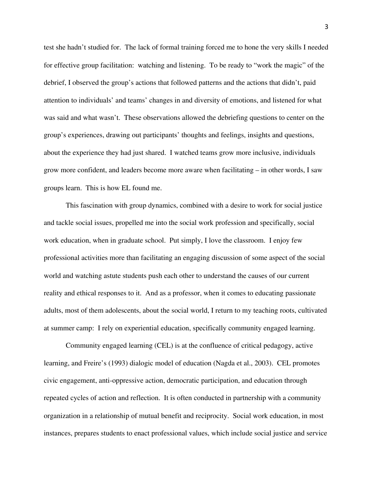test she hadn't studied for. The lack of formal training forced me to hone the very skills I needed for effective group facilitation: watching and listening. To be ready to "work the magic" of the debrief, I observed the group's actions that followed patterns and the actions that didn't, paid attention to individuals' and teams' changes in and diversity of emotions, and listened for what was said and what wasn't. These observations allowed the debriefing questions to center on the group's experiences, drawing out participants' thoughts and feelings, insights and questions, about the experience they had just shared. I watched teams grow more inclusive, individuals grow more confident, and leaders become more aware when facilitating – in other words, I saw groups learn. This is how EL found me.

This fascination with group dynamics, combined with a desire to work for social justice and tackle social issues, propelled me into the social work profession and specifically, social work education, when in graduate school. Put simply, I love the classroom. I enjoy few professional activities more than facilitating an engaging discussion of some aspect of the social world and watching astute students push each other to understand the causes of our current reality and ethical responses to it. And as a professor, when it comes to educating passionate adults, most of them adolescents, about the social world, I return to my teaching roots, cultivated at summer camp: I rely on experiential education, specifically community engaged learning.

Community engaged learning (CEL) is at the confluence of critical pedagogy, active learning, and Freire's (1993) dialogic model of education (Nagda et al., 2003). CEL promotes civic engagement, anti-oppressive action, democratic participation, and education through repeated cycles of action and reflection. It is often conducted in partnership with a community organization in a relationship of mutual benefit and reciprocity. Social work education, in most instances, prepares students to enact professional values, which include social justice and service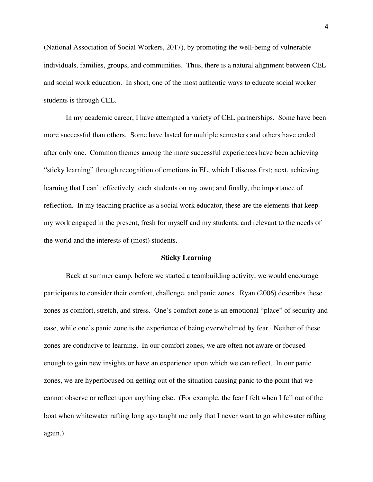(National Association of Social Workers, 2017), by promoting the well-being of vulnerable individuals, families, groups, and communities. Thus, there is a natural alignment between CEL and social work education. In short, one of the most authentic ways to educate social worker students is through CEL.

In my academic career, I have attempted a variety of CEL partnerships. Some have been more successful than others. Some have lasted for multiple semesters and others have ended after only one. Common themes among the more successful experiences have been achieving "sticky learning" through recognition of emotions in EL, which I discuss first; next, achieving learning that I can't effectively teach students on my own; and finally, the importance of reflection. In my teaching practice as a social work educator, these are the elements that keep my work engaged in the present, fresh for myself and my students, and relevant to the needs of the world and the interests of (most) students.

#### **Sticky Learning**

Back at summer camp, before we started a teambuilding activity, we would encourage participants to consider their comfort, challenge, and panic zones. Ryan (2006) describes these zones as comfort, stretch, and stress. One's comfort zone is an emotional "place" of security and ease, while one's panic zone is the experience of being overwhelmed by fear. Neither of these zones are conducive to learning. In our comfort zones, we are often not aware or focused enough to gain new insights or have an experience upon which we can reflect. In our panic zones, we are hyperfocused on getting out of the situation causing panic to the point that we cannot observe or reflect upon anything else. (For example, the fear I felt when I fell out of the boat when whitewater rafting long ago taught me only that I never want to go whitewater rafting again.)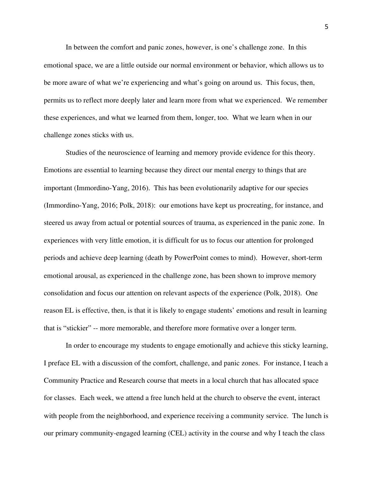In between the comfort and panic zones, however, is one's challenge zone. In this emotional space, we are a little outside our normal environment or behavior, which allows us to be more aware of what we're experiencing and what's going on around us. This focus, then, permits us to reflect more deeply later and learn more from what we experienced. We remember these experiences, and what we learned from them, longer, too. What we learn when in our challenge zones sticks with us.

Studies of the neuroscience of learning and memory provide evidence for this theory. Emotions are essential to learning because they direct our mental energy to things that are important (Immordino-Yang, 2016). This has been evolutionarily adaptive for our species (Immordino-Yang, 2016; Polk, 2018): our emotions have kept us procreating, for instance, and steered us away from actual or potential sources of trauma, as experienced in the panic zone. In experiences with very little emotion, it is difficult for us to focus our attention for prolonged periods and achieve deep learning (death by PowerPoint comes to mind). However, short-term emotional arousal, as experienced in the challenge zone, has been shown to improve memory consolidation and focus our attention on relevant aspects of the experience (Polk, 2018). One reason EL is effective, then, is that it is likely to engage students' emotions and result in learning that is "stickier" -- more memorable, and therefore more formative over a longer term.

In order to encourage my students to engage emotionally and achieve this sticky learning, I preface EL with a discussion of the comfort, challenge, and panic zones. For instance, I teach a Community Practice and Research course that meets in a local church that has allocated space for classes. Each week, we attend a free lunch held at the church to observe the event, interact with people from the neighborhood, and experience receiving a community service. The lunch is our primary community-engaged learning (CEL) activity in the course and why I teach the class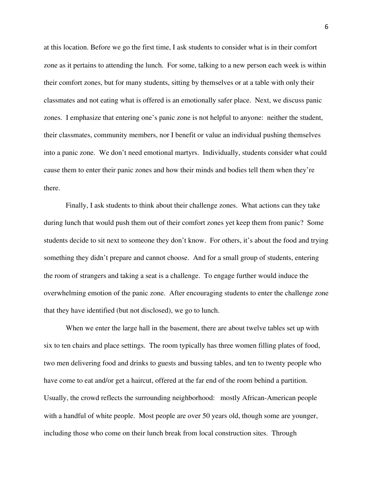at this location. Before we go the first time, I ask students to consider what is in their comfort zone as it pertains to attending the lunch. For some, talking to a new person each week is within their comfort zones, but for many students, sitting by themselves or at a table with only their classmates and not eating what is offered is an emotionally safer place. Next, we discuss panic zones. I emphasize that entering one's panic zone is not helpful to anyone: neither the student, their classmates, community members, nor I benefit or value an individual pushing themselves into a panic zone. We don't need emotional martyrs. Individually, students consider what could cause them to enter their panic zones and how their minds and bodies tell them when they're there.

Finally, I ask students to think about their challenge zones. What actions can they take during lunch that would push them out of their comfort zones yet keep them from panic? Some students decide to sit next to someone they don't know. For others, it's about the food and trying something they didn't prepare and cannot choose. And for a small group of students, entering the room of strangers and taking a seat is a challenge. To engage further would induce the overwhelming emotion of the panic zone. After encouraging students to enter the challenge zone that they have identified (but not disclosed), we go to lunch.

When we enter the large hall in the basement, there are about twelve tables set up with six to ten chairs and place settings. The room typically has three women filling plates of food, two men delivering food and drinks to guests and bussing tables, and ten to twenty people who have come to eat and/or get a haircut, offered at the far end of the room behind a partition. Usually, the crowd reflects the surrounding neighborhood: mostly African-American people with a handful of white people. Most people are over 50 years old, though some are younger, including those who come on their lunch break from local construction sites. Through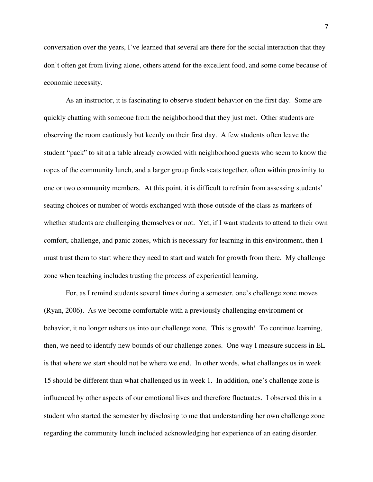conversation over the years, I've learned that several are there for the social interaction that they don't often get from living alone, others attend for the excellent food, and some come because of economic necessity.

As an instructor, it is fascinating to observe student behavior on the first day. Some are quickly chatting with someone from the neighborhood that they just met. Other students are observing the room cautiously but keenly on their first day. A few students often leave the student "pack" to sit at a table already crowded with neighborhood guests who seem to know the ropes of the community lunch, and a larger group finds seats together, often within proximity to one or two community members. At this point, it is difficult to refrain from assessing students' seating choices or number of words exchanged with those outside of the class as markers of whether students are challenging themselves or not. Yet, if I want students to attend to their own comfort, challenge, and panic zones, which is necessary for learning in this environment, then I must trust them to start where they need to start and watch for growth from there. My challenge zone when teaching includes trusting the process of experiential learning.

For, as I remind students several times during a semester, one's challenge zone moves (Ryan, 2006). As we become comfortable with a previously challenging environment or behavior, it no longer ushers us into our challenge zone. This is growth! To continue learning, then, we need to identify new bounds of our challenge zones. One way I measure success in EL is that where we start should not be where we end. In other words, what challenges us in week 15 should be different than what challenged us in week 1. In addition, one's challenge zone is influenced by other aspects of our emotional lives and therefore fluctuates. I observed this in a student who started the semester by disclosing to me that understanding her own challenge zone regarding the community lunch included acknowledging her experience of an eating disorder.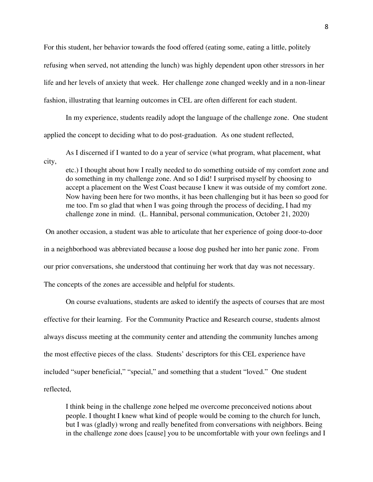For this student, her behavior towards the food offered (eating some, eating a little, politely refusing when served, not attending the lunch) was highly dependent upon other stressors in her life and her levels of anxiety that week. Her challenge zone changed weekly and in a non-linear fashion, illustrating that learning outcomes in CEL are often different for each student.

In my experience, students readily adopt the language of the challenge zone. One student applied the concept to deciding what to do post-graduation. As one student reflected,

As I discerned if I wanted to do a year of service (what program, what placement, what city,

etc.) I thought about how I really needed to do something outside of my comfort zone and do something in my challenge zone. And so I did! I surprised myself by choosing to accept a placement on the West Coast because I knew it was outside of my comfort zone. Now having been here for two months, it has been challenging but it has been so good for me too. I'm so glad that when I was going through the process of deciding, I had my challenge zone in mind. (L. Hannibal, personal communication, October 21, 2020)

On another occasion, a student was able to articulate that her experience of going door-to-door in a neighborhood was abbreviated because a loose dog pushed her into her panic zone. From our prior conversations, she understood that continuing her work that day was not necessary. The concepts of the zones are accessible and helpful for students.

On course evaluations, students are asked to identify the aspects of courses that are most effective for their learning. For the Community Practice and Research course, students almost always discuss meeting at the community center and attending the community lunches among the most effective pieces of the class. Students' descriptors for this CEL experience have included "super beneficial," "special," and something that a student "loved." One student reflected,

I think being in the challenge zone helped me overcome preconceived notions about people. I thought I knew what kind of people would be coming to the church for lunch, but I was (gladly) wrong and really benefited from conversations with neighbors. Being in the challenge zone does [cause] you to be uncomfortable with your own feelings and I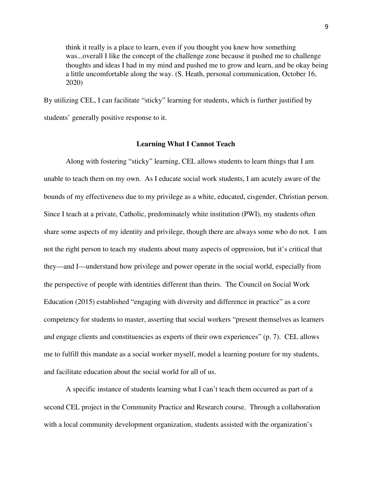think it really is a place to learn, even if you thought you knew how something was...overall I like the concept of the challenge zone because it pushed me to challenge thoughts and ideas I had in my mind and pushed me to grow and learn, and be okay being a little uncomfortable along the way. (S. Heath, personal communication, October 16, 2020)

By utilizing CEL, I can facilitate "sticky" learning for students, which is further justified by students' generally positive response to it.

## **Learning What I Cannot Teach**

Along with fostering "sticky" learning, CEL allows students to learn things that I am unable to teach them on my own. As I educate social work students, I am acutely aware of the bounds of my effectiveness due to my privilege as a white, educated, cisgender, Christian person. Since I teach at a private, Catholic, predominately white institution (PWI), my students often share some aspects of my identity and privilege, though there are always some who do not. I am not the right person to teach my students about many aspects of oppression, but it's critical that they—and I—understand how privilege and power operate in the social world, especially from the perspective of people with identities different than theirs. The Council on Social Work Education (2015) established "engaging with diversity and difference in practice" as a core competency for students to master, asserting that social workers "present themselves as learners and engage clients and constituencies as experts of their own experiences" (p. 7). CEL allows me to fulfill this mandate as a social worker myself, model a learning posture for my students, and facilitate education about the social world for all of us.

A specific instance of students learning what I can't teach them occurred as part of a second CEL project in the Community Practice and Research course. Through a collaboration with a local community development organization, students assisted with the organization's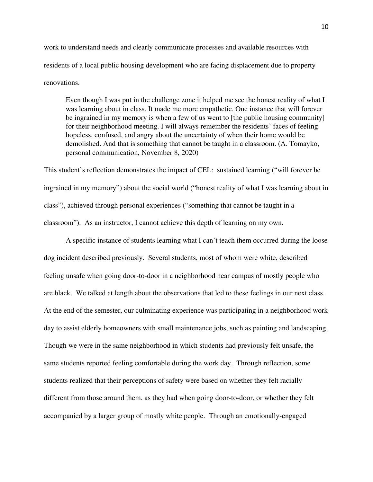work to understand needs and clearly communicate processes and available resources with residents of a local public housing development who are facing displacement due to property renovations.

Even though I was put in the challenge zone it helped me see the honest reality of what I was learning about in class. It made me more empathetic. One instance that will forever be ingrained in my memory is when a few of us went to [the public housing community] for their neighborhood meeting. I will always remember the residents' faces of feeling hopeless, confused, and angry about the uncertainty of when their home would be demolished. And that is something that cannot be taught in a classroom. (A. Tomayko, personal communication, November 8, 2020)

This student's reflection demonstrates the impact of CEL: sustained learning ("will forever be ingrained in my memory") about the social world ("honest reality of what I was learning about in class"), achieved through personal experiences ("something that cannot be taught in a classroom"). As an instructor, I cannot achieve this depth of learning on my own.

A specific instance of students learning what I can't teach them occurred during the loose dog incident described previously. Several students, most of whom were white, described feeling unsafe when going door-to-door in a neighborhood near campus of mostly people who are black. We talked at length about the observations that led to these feelings in our next class. At the end of the semester, our culminating experience was participating in a neighborhood work day to assist elderly homeowners with small maintenance jobs, such as painting and landscaping. Though we were in the same neighborhood in which students had previously felt unsafe, the same students reported feeling comfortable during the work day. Through reflection, some students realized that their perceptions of safety were based on whether they felt racially different from those around them, as they had when going door-to-door, or whether they felt accompanied by a larger group of mostly white people. Through an emotionally-engaged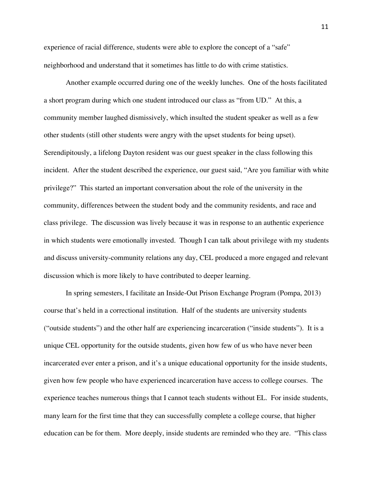experience of racial difference, students were able to explore the concept of a "safe" neighborhood and understand that it sometimes has little to do with crime statistics.

Another example occurred during one of the weekly lunches. One of the hosts facilitated a short program during which one student introduced our class as "from UD." At this, a community member laughed dismissively, which insulted the student speaker as well as a few other students (still other students were angry with the upset students for being upset). Serendipitously, a lifelong Dayton resident was our guest speaker in the class following this incident. After the student described the experience, our guest said, "Are you familiar with white privilege?" This started an important conversation about the role of the university in the community, differences between the student body and the community residents, and race and class privilege. The discussion was lively because it was in response to an authentic experience in which students were emotionally invested. Though I can talk about privilege with my students and discuss university-community relations any day, CEL produced a more engaged and relevant discussion which is more likely to have contributed to deeper learning.

In spring semesters, I facilitate an Inside-Out Prison Exchange Program (Pompa, 2013) course that's held in a correctional institution. Half of the students are university students ("outside students") and the other half are experiencing incarceration ("inside students"). It is a unique CEL opportunity for the outside students, given how few of us who have never been incarcerated ever enter a prison, and it's a unique educational opportunity for the inside students, given how few people who have experienced incarceration have access to college courses. The experience teaches numerous things that I cannot teach students without EL. For inside students, many learn for the first time that they can successfully complete a college course, that higher education can be for them. More deeply, inside students are reminded who they are. "This class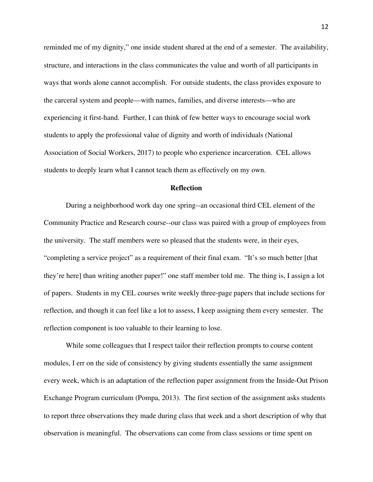reminded me of my dignity," one inside student shared at the end of a semester. The availability, structure, and interactions in the class communicates the value and worth of all participants in ways that words alone cannot accomplish. For outside students, the class provides exposure to the carceral system and people—with names, families, and diverse interests—who are experiencing it first-hand. Further, I can think of few better ways to encourage social work students to apply the professional value of dignity and worth of individuals (National Association of Social Workers, 2017) to people who experience incarceration. CEL allows students to deeply learn what I cannot teach them as effectively on my own.

### **Reflection**

During a neighborhood work day one spring--an occasional third CEL element of the Community Practice and Research course--our class was paired with a group of employees from the university. The staff members were so pleased that the students were, in their eyes, "completing a service project" as a requirement of their final exam. "It's so much better [that they're here] than writing another paper!" one staff member told me. The thing is, I assign a lot of papers. Students in my CEL courses write weekly three-page papers that include sections for reflection, and though it can feel like a lot to assess, I keep assigning them every semester. The reflection component is too valuable to their learning to lose.

While some colleagues that I respect tailor their reflection prompts to course content modules, I err on the side of consistency by giving students essentially the same assignment every week, which is an adaptation of the reflection paper assignment from the Inside-Out Prison Exchange Program curriculum (Pompa, 2013). The first section of the assignment asks students to report three observations they made during class that week and a short description of why that observation is meaningful. The observations can come from class sessions or time spent on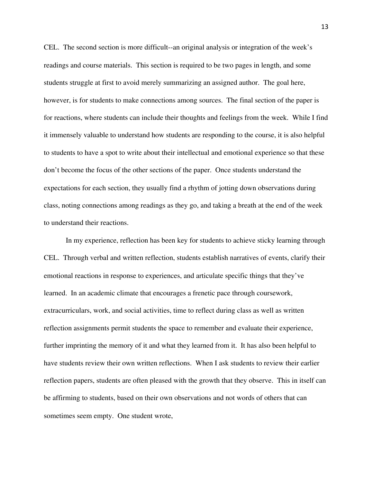CEL. The second section is more difficult--an original analysis or integration of the week's readings and course materials. This section is required to be two pages in length, and some students struggle at first to avoid merely summarizing an assigned author. The goal here, however, is for students to make connections among sources. The final section of the paper is for reactions, where students can include their thoughts and feelings from the week. While I find it immensely valuable to understand how students are responding to the course, it is also helpful to students to have a spot to write about their intellectual and emotional experience so that these don't become the focus of the other sections of the paper. Once students understand the expectations for each section, they usually find a rhythm of jotting down observations during class, noting connections among readings as they go, and taking a breath at the end of the week to understand their reactions.

In my experience, reflection has been key for students to achieve sticky learning through CEL. Through verbal and written reflection, students establish narratives of events, clarify their emotional reactions in response to experiences, and articulate specific things that they've learned. In an academic climate that encourages a frenetic pace through coursework, extracurriculars, work, and social activities, time to reflect during class as well as written reflection assignments permit students the space to remember and evaluate their experience, further imprinting the memory of it and what they learned from it. It has also been helpful to have students review their own written reflections. When I ask students to review their earlier reflection papers, students are often pleased with the growth that they observe. This in itself can be affirming to students, based on their own observations and not words of others that can sometimes seem empty. One student wrote,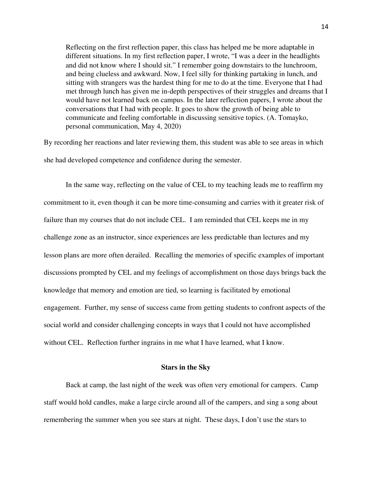Reflecting on the first reflection paper, this class has helped me be more adaptable in different situations. In my first reflection paper, I wrote, "I was a deer in the headlights and did not know where I should sit." I remember going downstairs to the lunchroom, and being clueless and awkward. Now, I feel silly for thinking partaking in lunch, and sitting with strangers was the hardest thing for me to do at the time. Everyone that I had met through lunch has given me in-depth perspectives of their struggles and dreams that I would have not learned back on campus. In the later reflection papers, I wrote about the conversations that I had with people. It goes to show the growth of being able to communicate and feeling comfortable in discussing sensitive topics. (A. Tomayko, personal communication, May 4, 2020)

By recording her reactions and later reviewing them, this student was able to see areas in which she had developed competence and confidence during the semester.

In the same way, reflecting on the value of CEL to my teaching leads me to reaffirm my commitment to it, even though it can be more time-consuming and carries with it greater risk of failure than my courses that do not include CEL. I am reminded that CEL keeps me in my challenge zone as an instructor, since experiences are less predictable than lectures and my lesson plans are more often derailed. Recalling the memories of specific examples of important discussions prompted by CEL and my feelings of accomplishment on those days brings back the knowledge that memory and emotion are tied, so learning is facilitated by emotional engagement. Further, my sense of success came from getting students to confront aspects of the social world and consider challenging concepts in ways that I could not have accomplished without CEL. Reflection further ingrains in me what I have learned, what I know.

#### **Stars in the Sky**

Back at camp, the last night of the week was often very emotional for campers. Camp staff would hold candles, make a large circle around all of the campers, and sing a song about remembering the summer when you see stars at night. These days, I don't use the stars to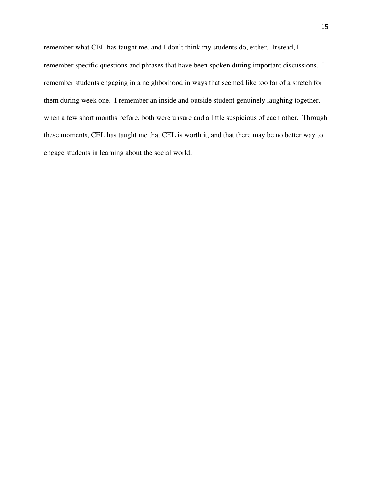remember what CEL has taught me, and I don't think my students do, either. Instead, I remember specific questions and phrases that have been spoken during important discussions. I remember students engaging in a neighborhood in ways that seemed like too far of a stretch for them during week one. I remember an inside and outside student genuinely laughing together, when a few short months before, both were unsure and a little suspicious of each other. Through these moments, CEL has taught me that CEL is worth it, and that there may be no better way to engage students in learning about the social world.